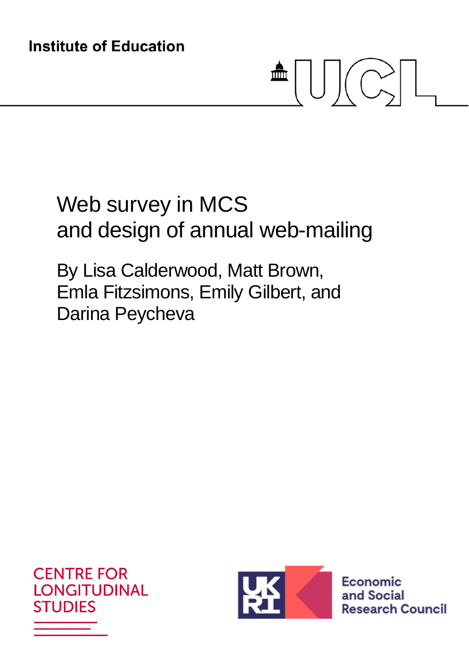**Institute of Education** 

# $\mathbf{m} \cup \mathbf{C}$

# Web survey in MCS and design of annual web-mailing

By Lisa Calderwood, Matt Brown, Emla Fitzsimons, Emily Gilbert, and Darina Peycheva





Economic and Social **Research Council**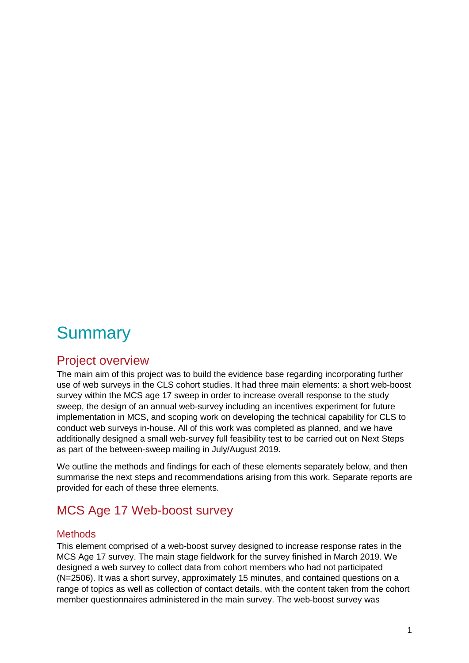# **Summary**

# Project overview

The main aim of this project was to build the evidence base regarding incorporating further use of web surveys in the CLS cohort studies. It had three main elements: a short web-boost survey within the MCS age 17 sweep in order to increase overall response to the study sweep, the design of an annual web-survey including an incentives experiment for future implementation in MCS, and scoping work on developing the technical capability for CLS to conduct web surveys in-house. All of this work was completed as planned, and we have additionally designed a small web-survey full feasibility test to be carried out on Next Steps as part of the between-sweep mailing in July/August 2019.

We outline the methods and findings for each of these elements separately below, and then summarise the next steps and recommendations arising from this work. Separate reports are provided for each of these three elements.

# MCS Age 17 Web-boost survey

#### **Methods**

This element comprised of a web-boost survey designed to increase response rates in the MCS Age 17 survey. The main stage fieldwork for the survey finished in March 2019. We designed a web survey to collect data from cohort members who had not participated (N=2506). It was a short survey, approximately 15 minutes, and contained questions on a range of topics as well as collection of contact details, with the content taken from the cohort member questionnaires administered in the main survey. The web-boost survey was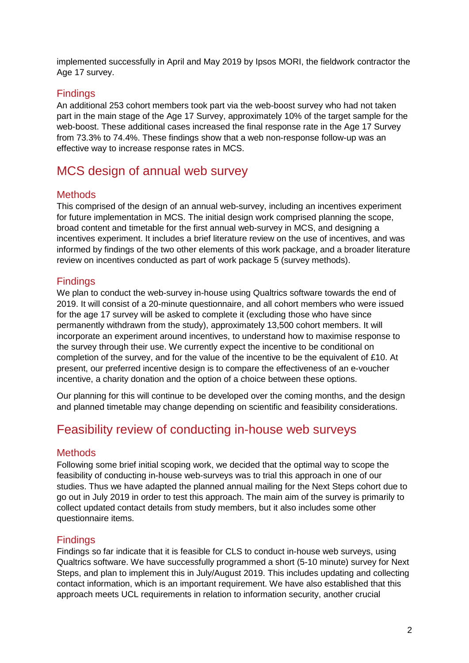implemented successfully in April and May 2019 by Ipsos MORI, the fieldwork contractor the Age 17 survey.

#### **Findings**

An additional 253 cohort members took part via the web-boost survey who had not taken part in the main stage of the Age 17 Survey, approximately 10% of the target sample for the web-boost. These additional cases increased the final response rate in the Age 17 Survey from 73.3% to 74.4%. These findings show that a web non-response follow-up was an effective way to increase response rates in MCS.

# MCS design of annual web survey

#### **Methods**

This comprised of the design of an annual web-survey, including an incentives experiment for future implementation in MCS. The initial design work comprised planning the scope, broad content and timetable for the first annual web-survey in MCS, and designing a incentives experiment. It includes a brief literature review on the use of incentives, and was informed by findings of the two other elements of this work package, and a broader literature review on incentives conducted as part of work package 5 (survey methods).

### Findings

We plan to conduct the web-survey in-house using Qualtrics software towards the end of 2019. It will consist of a 20-minute questionnaire, and all cohort members who were issued for the age 17 survey will be asked to complete it (excluding those who have since permanently withdrawn from the study), approximately 13,500 cohort members. It will incorporate an experiment around incentives, to understand how to maximise response to the survey through their use. We currently expect the incentive to be conditional on completion of the survey, and for the value of the incentive to be the equivalent of £10. At present, our preferred incentive design is to compare the effectiveness of an e-voucher incentive, a charity donation and the option of a choice between these options.

Our planning for this will continue to be developed over the coming months, and the design and planned timetable may change depending on scientific and feasibility considerations.

# Feasibility review of conducting in-house web surveys

### **Methods**

Following some brief initial scoping work, we decided that the optimal way to scope the feasibility of conducting in-house web-surveys was to trial this approach in one of our studies. Thus we have adapted the planned annual mailing for the Next Steps cohort due to go out in July 2019 in order to test this approach. The main aim of the survey is primarily to collect updated contact details from study members, but it also includes some other questionnaire items.

#### **Findings**

Findings so far indicate that it is feasible for CLS to conduct in-house web surveys, using Qualtrics software. We have successfully programmed a short (5-10 minute) survey for Next Steps, and plan to implement this in July/August 2019. This includes updating and collecting contact information, which is an important requirement. We have also established that this approach meets UCL requirements in relation to information security, another crucial